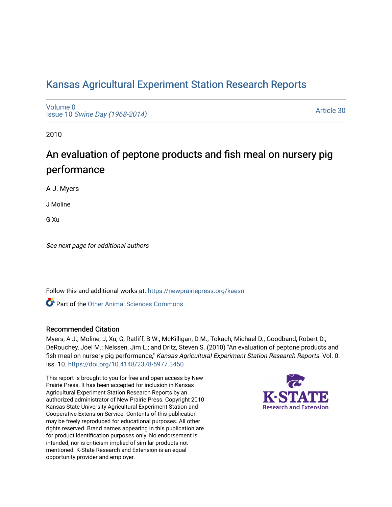## [Kansas Agricultural Experiment Station Research Reports](https://newprairiepress.org/kaesrr)

[Volume 0](https://newprairiepress.org/kaesrr/vol0) Issue 10 [Swine Day \(1968-2014\)](https://newprairiepress.org/kaesrr/vol0/iss10)

[Article 30](https://newprairiepress.org/kaesrr/vol0/iss10/30) 

2010

# An evaluation of peptone products and fish meal on nursery pig performance

A J. Myers

J Moline

G Xu

See next page for additional authors

Follow this and additional works at: [https://newprairiepress.org/kaesrr](https://newprairiepress.org/kaesrr?utm_source=newprairiepress.org%2Fkaesrr%2Fvol0%2Fiss10%2F30&utm_medium=PDF&utm_campaign=PDFCoverPages) 

Part of the [Other Animal Sciences Commons](http://network.bepress.com/hgg/discipline/82?utm_source=newprairiepress.org%2Fkaesrr%2Fvol0%2Fiss10%2F30&utm_medium=PDF&utm_campaign=PDFCoverPages)

### Recommended Citation

Myers, A J.; Moline, J; Xu, G; Ratliff, B W.; McKilligan, D M.; Tokach, Michael D.; Goodband, Robert D.; DeRouchey, Joel M.; Nelssen, Jim L.; and Dritz, Steven S. (2010) "An evaluation of peptone products and fish meal on nursery pig performance," Kansas Agricultural Experiment Station Research Reports: Vol. 0: Iss. 10.<https://doi.org/10.4148/2378-5977.3450>

This report is brought to you for free and open access by New Prairie Press. It has been accepted for inclusion in Kansas Agricultural Experiment Station Research Reports by an authorized administrator of New Prairie Press. Copyright 2010 Kansas State University Agricultural Experiment Station and Cooperative Extension Service. Contents of this publication may be freely reproduced for educational purposes. All other rights reserved. Brand names appearing in this publication are for product identification purposes only. No endorsement is intended, nor is criticism implied of similar products not mentioned. K-State Research and Extension is an equal opportunity provider and employer.

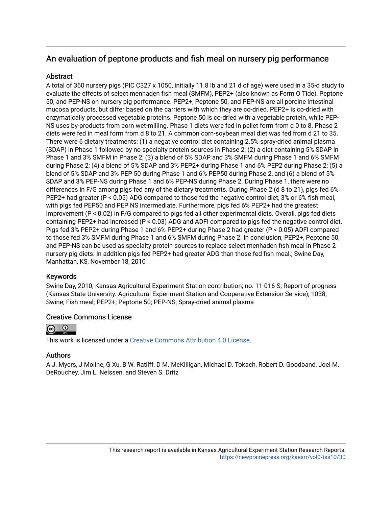## An evaluation of peptone products and fish meal on nursery pig performance

## **Abstract**

A total of 360 nursery pigs (PIC C327 x 1050, initially 11.8 lb and 21 d of age) were used in a 35-d study to evaluate the effects of select menhaden fish meal (SMFM), PEP2+ (also known as Ferm O Tide), Peptone 50, and PEP-NS on nursery pig performance. PEP2+, Peptone 50, and PEP-NS are all porcine intestinal mucosa products, but differ based on the carriers with which they are co-dried. PEP2+ is co-dried with enzymatically processed vegetable proteins. Peptone 50 is co-dried with a vegetable protein, while PEP-NS uses by-products from corn wet-milling. Phase 1 diets were fed in pellet form from d 0 to 8. Phase 2 diets were fed in meal form from d 8 to 21. A common corn-soybean meal diet was fed from d 21 to 35. There were 6 dietary treatments: (1) a negative control diet containing 2.5% spray-dried animal plasma (SDAP) in Phase 1 followed by no specialty protein sources in Phase 2; (2) a diet containing 5% SDAP in Phase 1 and 3% SMFM in Phase 2; (3) a blend of 5% SDAP and 3% SMFM during Phase 1 and 6% SMFM during Phase 2; (4) a blend of 5% SDAP and 3% PEP2+ during Phase 1 and 6% PEP2 during Phase 2; (5) a blend of 5% SDAP and 3% PEP 50 during Phase 1 and 6% PEP50 during Phase 2, and (6) a blend of 5% SDAP and 3% PEP-NS during Phase 1 and 6% PEP-NS during Phase 2. During Phase 1, there were no differences in F/G among pigs fed any of the dietary treatments. During Phase 2 (d 8 to 21), pigs fed 6% PEP2+ had greater (P < 0.05) ADG compared to those fed the negative control diet, 3% or 6% fish meal, with pigs fed PEP50 and PEP NS intermediate. Furthermore, pigs fed 6% PEP2+ had the greatest improvement (P < 0.02) in F/G compared to pigs fed all other experimental diets. Overall, pigs fed diets containing PEP2+ had increased (P < 0.03) ADG and ADFI compared to pigs fed the negative control diet. Pigs fed 3% PEP2+ during Phase 1 and 6% PEP2+ during Phase 2 had greater (P < 0.05) ADFI compared to those fed 3% SMFM during Phase 1 and 6% SMFM during Phase 2. In conclusion, PEP2+, Peptone 50, and PEP-NS can be used as specialty protein sources to replace select menhaden fish meal in Phase 2 nursery pig diets. In addition pigs fed PEP2+ had greater ADG than those fed fish meal.; Swine Day, Manhattan, KS, November 18, 2010

## Keywords

Swine Day, 2010; Kansas Agricultural Experiment Station contribution; no. 11-016-S; Report of progress (Kansas State University. Agricultural Experiment Station and Cooperative Extension Service); 1038; Swine; Fish meal; PEP2+; Peptone 50; PEP-NS; Spray-dried animal plasma

## Creative Commons License



This work is licensed under a [Creative Commons Attribution 4.0 License](https://creativecommons.org/licenses/by/4.0/).

## Authors

A J. Myers, J Moline, G Xu, B W. Ratliff, D M. McKilligan, Michael D. Tokach, Robert D. Goodband, Joel M. DeRouchey, Jim L. Nelssen, and Steven S. Dritz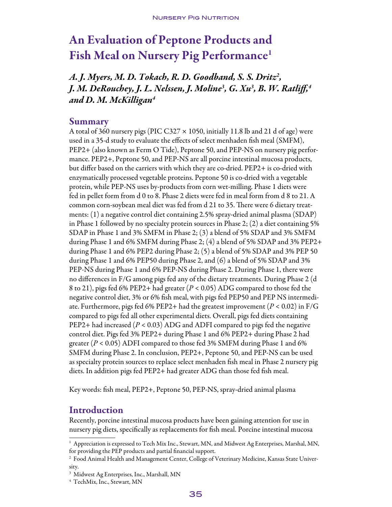# An Evaluation of Peptone Products and Fish Meal on Nursery Pig Performance<sup>1</sup>

*A. J. Myers, M. D. Tokach, R. D. Goodband, S. S. Dritz2 , J. M. DeRouchey, J. L. Nelssen, J. Moline3 , G. Xu3 , B. W. Ratliff,4 and D. M. McKilligan4*

## Summary

A total of 360 nursery pigs (PIC C327  $\times$  1050, initially 11.8 lb and 21 d of age) were used in a 35-d study to evaluate the effects of select menhaden fish meal (SMFM), PEP2+ (also known as Ferm O Tide), Peptone 50, and PEP-NS on nursery pig performance. PEP2+, Peptone 50, and PEP-NS are all porcine intestinal mucosa products, but differ based on the carriers with which they are co-dried. PEP2+ is co-dried with enzymatically processed vegetable proteins. Peptone 50 is co-dried with a vegetable protein, while PEP-NS uses by-products from corn wet-milling. Phase 1 diets were fed in pellet form from d 0 to 8. Phase 2 diets were fed in meal form from d 8 to 21. A common corn-soybean meal diet was fed from d 21 to 35. There were 6 dietary treatments: (1) a negative control diet containing 2.5% spray-dried animal plasma (SDAP) in Phase 1 followed by no specialty protein sources in Phase 2; (2) a diet containing 5% SDAP in Phase 1 and 3% SMFM in Phase 2; (3) a blend of 5% SDAP and 3% SMFM during Phase 1 and 6% SMFM during Phase 2; (4) a blend of 5% SDAP and 3% PEP2+ during Phase 1 and 6% PEP2 during Phase 2; (5) a blend of 5% SDAP and 3% PEP 50 during Phase 1 and 6% PEP50 during Phase 2, and (6) a blend of 5% SDAP and 3% PEP-NS during Phase 1 and 6% PEP-NS during Phase 2. During Phase 1, there were no differences in F/G among pigs fed any of the dietary treatments. During Phase 2 (d 8 to 21), pigs fed 6% PEP2+ had greater (*P* < 0.05) ADG compared to those fed the negative control diet, 3% or 6% fish meal, with pigs fed PEP50 and PEP NS intermediate. Furthermore, pigs fed 6% PEP2+ had the greatest improvement (*P* < 0.02) in F/G compared to pigs fed all other experimental diets. Overall, pigs fed diets containing PEP2+ had increased (*P* < 0.03) ADG and ADFI compared to pigs fed the negative control diet. Pigs fed 3% PEP2+ during Phase 1 and 6% PEP2+ during Phase 2 had greater (*P* < 0.05) ADFI compared to those fed 3% SMFM during Phase 1 and 6% SMFM during Phase 2. In conclusion, PEP2+, Peptone 50, and PEP-NS can be used as specialty protein sources to replace select menhaden fish meal in Phase 2 nursery pig diets. In addition pigs fed PEP2+ had greater ADG than those fed fish meal.

Key words: fish meal, PEP2+, Peptone 50, PEP-NS, spray-dried animal plasma

## Introduction

Recently, porcine intestinal mucosa products have been gaining attention for use in nursery pig diets, specifically as replacements for fish meal. Porcine intestinal mucosa

<sup>1</sup> Appreciation is expressed to Tech Mix Inc., Stewart, MN, and Midwest Ag Enterprises, Marshal, MN, for providing the PEP products and partial financial support.

<sup>2</sup> Food Animal Health and Management Center, College of Veterinary Medicine, Kansas State University.

<sup>3</sup> Midwest Ag Enterprises, Inc., Marshall, MN

<sup>4</sup> TechMix, Inc., Stewart, MN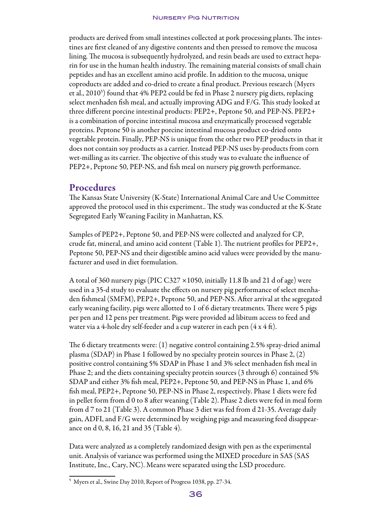#### **NURSERY PIG NUTRITION**

products are derived from small intestines collected at pork processing plants. The intestines are first cleaned of any digestive contents and then pressed to remove the mucosa lining. The mucosa is subsequently hydrolyzed, and resin beads are used to extract heparin for use in the human health industry. The remaining material consists of small chain peptides and has an excellent amino acid profile. In addition to the mucosa, unique coproducts are added and co-dried to create a final product. Previous research (Myers et al., 2010<sup>s</sup>) found that 4% PEP2 could be fed in Phase 2 nursery pig diets, replacing select menhaden fish meal, and actually improving ADG and F/G. This study looked at three different porcine intestinal products: PEP2+, Peptone 50, and PEP-NS. PEP2+ is a combination of porcine intestinal mucosa and enzymatically processed vegetable proteins. Peptone 50 is another porcine intestinal mucosa product co-dried onto vegetable protein. Finally, PEP-NS is unique from the other two PEP products in that it does not contain soy products as a carrier. Instead PEP-NS uses by-products from corn wet-milling as its carrier. The objective of this study was to evaluate the influence of PEP2+, Peptone 50, PEP-NS, and fish meal on nursery pig growth performance.

## Procedures

The Kansas State University (K-State) International Animal Care and Use Committee approved the protocol used in this experiment.. The study was conducted at the K-State Segregated Early Weaning Facility in Manhattan, KS.

Samples of PEP2+, Peptone 50, and PEP-NS were collected and analyzed for CP, crude fat, mineral, and amino acid content (Table 1). The nutrient profiles for PEP2+, Peptone 50, PEP-NS and their digestible amino acid values were provided by the manufacturer and used in diet formulation.

A total of 360 nursery pigs (PIC C327 ×1050, initially 11.8 lb and 21 d of age) were used in a 35-d study to evaluate the effects on nursery pig performance of select menhaden fishmeal (SMFM), PEP2+, Peptone 50, and PEP-NS. After arrival at the segregated early weaning facility, pigs were allotted to 1 of 6 dietary treatments. There were 5 pigs per pen and 12 pens per treatment. Pigs were provided ad libitum access to feed and water via a 4-hole dry self-feeder and a cup waterer in each pen  $(4 \times 4 \text{ ft})$ .

The 6 dietary treatments were: (1) negative control containing 2.5% spray-dried animal plasma (SDAP) in Phase 1 followed by no specialty protein sources in Phase 2, (2) positive control containing 5% SDAP in Phase 1 and 3% select menhaden fish meal in Phase 2; and the diets containing specialty protein sources (3 through 6) contained 5% SDAP and either 3% fish meal, PEP2+, Peptone 50, and PEP-NS in Phase 1, and 6% fish meal, PEP2+, Peptone 50, PEP-NS in Phase 2, respectively. Phase 1 diets were fed in pellet form from d 0 to 8 after weaning (Table 2). Phase 2 diets were fed in meal form from d 7 to 21 (Table 3). A common Phase 3 diet was fed from d 21-35. Average daily gain, ADFI, and F/G were determined by weighing pigs and measuring feed disappearance on d 0, 8, 16, 21 and 35 (Table 4).

Data were analyzed as a completely randomized design with pen as the experimental unit. Analysis of variance was performed using the MIXED procedure in SAS (SAS Institute, Inc., Cary, NC). Means were separated using the LSD procedure.

⁵ Myers et al., Swine Day 2010, Report of Progress 1038, pp. 27-34.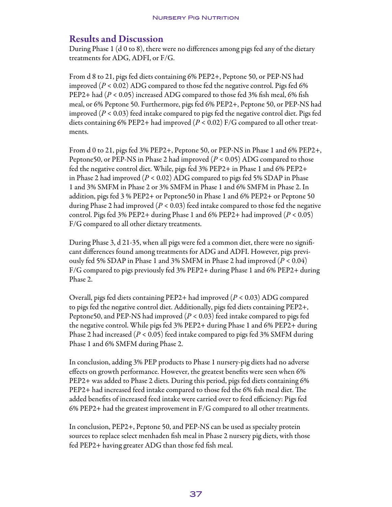## Results and Discussion

During Phase 1 (d 0 to 8), there were no differences among pigs fed any of the dietary treatments for ADG, ADFI, or F/G.

From d 8 to 21, pigs fed diets containing 6% PEP2+, Peptone 50, or PEP-NS had improved  $(P < 0.02)$  ADG compared to those fed the negative control. Pigs fed 6% PEP2+ had (*P* < 0.05) increased ADG compared to those fed 3% fish meal, 6% fish meal, or 6% Peptone 50. Furthermore, pigs fed 6% PEP2+, Peptone 50, or PEP-NS had improved (*P* < 0.03) feed intake compared to pigs fed the negative control diet. Pigs fed diets containing 6% PEP2+ had improved (*P* < 0.02) F/G compared to all other treatments.

From d 0 to 21, pigs fed 3% PEP2+, Peptone 50, or PEP-NS in Phase 1 and 6% PEP2+, Peptone50, or PEP-NS in Phase 2 had improved (*P* < 0.05) ADG compared to those fed the negative control diet. While, pigs fed 3% PEP2+ in Phase 1 and 6% PEP2+ in Phase 2 had improved (*P* < 0.02) ADG compared to pigs fed 5% SDAP in Phase 1 and 3% SMFM in Phase 2 or 3% SMFM in Phase 1 and 6% SMFM in Phase 2. In addition, pigs fed 3 % PEP2+ or Peptone50 in Phase 1 and 6% PEP2+ or Peptone 50 during Phase 2 had improved  $(P < 0.03)$  feed intake compared to those fed the negative control. Pigs fed 3% PEP2+ during Phase 1 and 6% PEP2+ had improved  $(P < 0.05)$ F/G compared to all other dietary treatments.

During Phase 3, d 21-35, when all pigs were fed a common diet, there were no significant differences found among treatments for ADG and ADFI. However, pigs previously fed 5% SDAP in Phase 1 and 3% SMFM in Phase 2 had improved (*P* < 0.04) F/G compared to pigs previously fed 3% PEP2+ during Phase 1 and 6% PEP2+ during Phase 2.

Overall, pigs fed diets containing PEP2+ had improved (*P* < 0.03) ADG compared to pigs fed the negative control diet. Additionally, pigs fed diets containing PEP2+, Peptone50, and PEP-NS had improved (*P* < 0.03) feed intake compared to pigs fed the negative control. While pigs fed 3% PEP2+ during Phase 1 and 6% PEP2+ during Phase 2 had increased (*P* < 0.05) feed intake compared to pigs fed 3% SMFM during Phase 1 and 6% SMFM during Phase 2.

In conclusion, adding 3% PEP products to Phase 1 nursery-pig diets had no adverse effects on growth performance. However, the greatest benefits were seen when 6% PEP2+ was added to Phase 2 diets. During this period, pigs fed diets containing 6% PEP2+ had increased feed intake compared to those fed the 6% fish meal diet. The added benefits of increased feed intake were carried over to feed efficiency: Pigs fed 6% PEP2+ had the greatest improvement in F/G compared to all other treatments.

In conclusion, PEP2+, Peptone 50, and PEP-NS can be used as specialty protein sources to replace select menhaden fish meal in Phase 2 nursery pig diets, with those fed PEP2+ having greater ADG than those fed fish meal.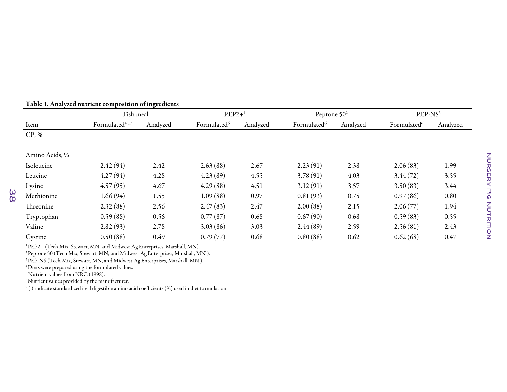|                | Fish meal                   |          | $PEP2+$ <sup>1</sup>    |          | Peptone $502$           |          | PEP-NS <sup>3</sup>     |          |
|----------------|-----------------------------|----------|-------------------------|----------|-------------------------|----------|-------------------------|----------|
| Item           | Formulated <sup>4,5,7</sup> | Analyzed | Formulated <sup>6</sup> | Analyzed | Formulated <sup>6</sup> | Analyzed | Formulated <sup>6</sup> | Analyzed |
| CP, %          |                             |          |                         |          |                         |          |                         |          |
| Amino Acids, % |                             |          |                         |          |                         |          |                         |          |
| Isoleucine     | 2.42(94)                    | 2.42     | 2.63(88)                | 2.67     | 2.23(91)                | 2.38     | 2.06(83)                | 1.99     |
| Leucine        | 4.27(94)                    | 4.28     | 4.23(89)                | 4.55     | 3.78(91)                | 4.03     | 3.44(72)                | 3.55     |
| Lysine         | 4.57(95)                    | 4.67     | 4.29(88)                | 4.51     | 3.12(91)                | 3.57     | 3.50(83)                | 3.44     |
| Methionine     | 1.66(94)                    | 1.55     | 1.09(88)                | 0.97     | 0.81(93)                | 0.75     | 0.97(86)                | 0.80     |
| Threonine      | 2.32(88)                    | 2.56     | 2.47(83)                | 2.47     | 2.00(88)                | 2.15     | 2.06(77)                | 1.94     |
| Tryptophan     | 0.59(88)                    | 0.56     | 0.77(87)                | 0.68     | 0.67(90)                | 0.68     | 0.59(83)                | 0.55     |
| Valine         | 2.82(93)                    | 2.78     | 3.03(86)                | 3.03     | 2.44(89)                | 2.59     | 2.56(81)                | 2.43     |
| Cystine        | 0.50(88)                    | 0.49     | 0.79(77)                | 0.68     | 0.80(88)                | 0.62     | 0.62(68)                | 0.47     |

### Table 1. Analyzed nutrient composition of ingredients

1PEP2+ (Tech Mix, Stewart, MN, and Midwest Ag Enterprises, Marshall, MN).

<sup>2</sup> Peptone 50 (Tech Mix, Stewart, MN, and Midwest Ag Enterprises, Marshall, MN).

 $^3$ PEP-NS (Tech Mix, Stewart, MN, and Midwest Ag Enterprises, Marshall, MN ).

 $^4\rm D$ iets were prepared using the formulated values.

5 Nutrient values from NRC (1998).

38

 $^6\rm{N}$ utrient values provided by the manufacturer.

 $^7$  ( ) indicate standardized ileal digestible amino acid coefficients (%) used in diet formulation.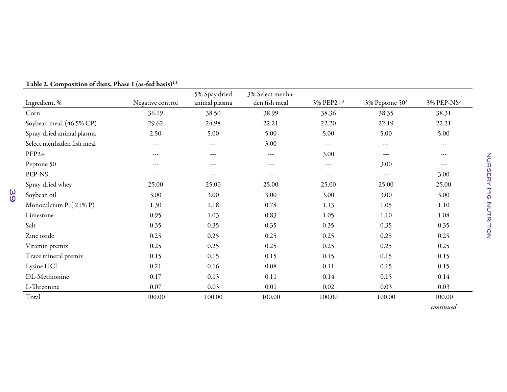|                           |                  |               | 3% Select menha- |                          |                     |                        |
|---------------------------|------------------|---------------|------------------|--------------------------|---------------------|------------------------|
| Ingredient, %             | Negative control | animal plasma | den fish meal    | $3\%$ PEP2+ <sup>3</sup> | $3\%$ Peptone $503$ | 3% PEP-NS <sup>3</sup> |
| Corn                      | 36.19            | 38.50         | 38.99            | 38.36                    | 38.35               | 38.31                  |
| Soybean meal, (46.5% CP)  | 29.62            | 24.98         | 22.21            | 22.20                    | 22.19               | 22.21                  |
| Spray-dried animal plasma | 2.50             | 5.00          | 5.00             | 5.00                     | 5.00                | 5.00                   |
| Select menhaden fish meal | ---              | $\cdots$      | 3.00             | $\cdots$                 | ---                 | $\cdots$               |
| $PEP2+$                   | ---              | ---           | $\cdots$         | 3.00                     | ---                 | ---                    |
| Peptone 50                | ---              | ---           | ---              | $\sim$ $\sim$ $\sim$     | 3.00                | $\cdots$               |
| PEP-NS                    | ---              | ---           | ---              | ---                      | ---                 | 3.00                   |
| Spray-dried whey          | 25.00            | 25.00         | 25.00            | 25.00                    | 25.00               | 25.00                  |
| Soybean oil               | 3.00             | 3.00          | 3.00             | 3.00                     | 3.00                | 3.00                   |
| Monocalcium P, (21% P)    | 1.30             | 1.18          | 0.78             | 1.13                     | 1.05                | 1.10                   |
| Limestone                 | 0.95             | 1.03          | 0.83             | 1.05                     | 1.10                | 1.08                   |
| Salt                      | 0.35             | 0.35          | 0.35             | 0.35                     | 0.35                | 0.35                   |
| Zinc oxide                | 0.25             | 0.25          | 0.25             | 0.25                     | 0.25                | 0.25                   |
| Vitamin premix            | 0.25             | 0.25          | 0.25             | 0.25                     | 0.25                | 0.25                   |
| Trace mineral premix      | 0.15             | 0.15          | 0.15             | 0.15                     | 0.15                | 0.15                   |
| Lysine HCl                | 0.21             | 0.16          | 0.08             | 0.11                     | 0.15                | 0.15                   |
| DL-Methionine             | 0.17             | 0.13          | 0.11             | 0.14                     | 0.15                | 0.14                   |
| L-Threonine               | 0.07             | 0.03          | 0.01             | 0.02                     | 0.03                | 0.03                   |
| Total                     | 100.00           | 100.00        | 100.00           | 100.00                   | 100.00              | 100.00                 |

Table 2. Composition of diets, Phase 1 (as-fed basis) $^{\rm 1,2}$ 

*continued*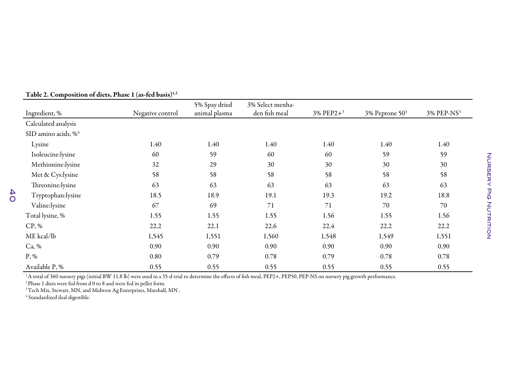| Ingredient, %                   | Negative control | 5% Spay dried<br>animal plasma | 3% Select menha-<br>den fish meal | $3\%$ PEP2+ <sup>3</sup> | $3\%$ Peptone $503$ | 3% PEP-NS <sup>3</sup> |
|---------------------------------|------------------|--------------------------------|-----------------------------------|--------------------------|---------------------|------------------------|
| Calculated analysis             |                  |                                |                                   |                          |                     |                        |
| SID amino acids, % <sup>4</sup> |                  |                                |                                   |                          |                     |                        |
| Lysine                          | 1.40             | 1.40                           | 1.40                              | 1.40                     | 1.40                | 1.40                   |
| Isoleucine:lysine               | 60               | 59                             | 60                                | 60                       | 59                  | 59                     |
| Methionine:lysine               | 32               | 29                             | 30                                | 30                       | 30                  | 30                     |
| Met & Cys:lysine                | 58               | 58                             | 58                                | 58                       | 58                  | 58                     |
| Threonine:lysine                | 63               | 63                             | 63                                | 63                       | 63                  | 63                     |
| Tryptophan:lysine               | 18.5             | 18.9                           | 19.1                              | 19.3                     | 19.2                | 18.8                   |
| Valine:lysine                   | 67               | 69                             | 71                                | 71                       | 70                  | 70                     |
| Total lysine, %                 | 1.55             | 1.55                           | 1.55                              | 1.56                     | 1.55                | 1.56                   |
| CP, %                           | 22.2             | 22.1                           | 22.6                              | 22.4                     | 22.2                | 22.2                   |
| ME kcal/lb                      | 1,545            | 1,551                          | 1,560                             | 1,548                    | 1,549               | 1,551                  |
| Ca, %                           | 0.90             | 0.90                           | 0.90                              | 0.90                     | 0.90                | 0.90                   |
| $P, \%$                         | 0.80             | 0.79                           | 0.78                              | 0.79                     | 0.78                | 0.78                   |
| Available P, %                  | 0.55             | 0.55                           | 0.55                              | 0.55                     | 0.55                | 0.55                   |

Table 2. Composition of diets, Phase 1 (as-fed basis) $^{\rm 1,2}$ 

1A total of 360 nursery <sup>p</sup>igs (initial BW 11.8 lb) were used in <sup>a</sup> 35-d trial to determine the effects of fish meal, PEP2+, PEP50, PEP-NS on nursery <sup>p</sup>ig growth performance.

 $^2$ Phase 1 diets were fed from d 0 to 8 and were fed in pellet form.

 $^3\rm{Tech}$  Mix, Stewart, MN, and Midwest Ag Enterprises, Marshall, MN .

 $^4$  Standardized ileal digestible.

40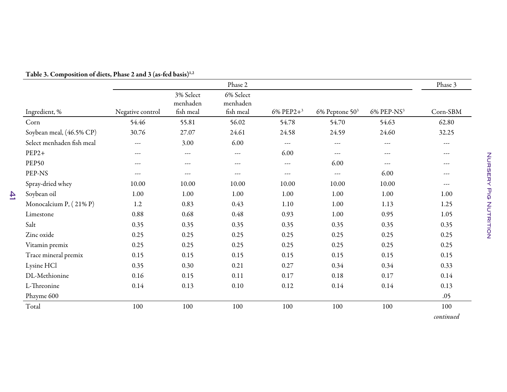|                           |                  |                                    | Phase 2                            |              |                      |                        | Phase 3              |
|---------------------------|------------------|------------------------------------|------------------------------------|--------------|----------------------|------------------------|----------------------|
| Ingredient, %             | Negative control | 3% Select<br>menhaden<br>fish meal | 6% Select<br>menhaden<br>fish meal | 6% PEP2+ $3$ | $6\%$ Peptone $503$  | 6% PEP-NS <sup>3</sup> | Corn-SBM             |
| Corn                      | 54.46            | 55.81                              | 56.02                              | 54.78        | 54.70                | 54.63                  | 62.80                |
| Soybean meal, (46.5% CP)  | 30.76            | 27.07                              | 24.61                              | 24.58        | 24.59                | 24.60                  | 32.25                |
| Select menhaden fish meal | ---              | 3.00                               | 6.00                               | ---          | $\sim$ $\sim$ $\sim$ | $\cdots$               | $\sim$ $\sim$ $\sim$ |
| $PEP2+$                   | ---              | $\sim$ $\sim$ $\sim$               | ---                                | 6.00         | $- - -$              | $---$                  | $---$                |
| <b>PEP50</b>              | ---              | $- - -$                            | ---                                | ---          | 6.00                 | $---$                  | $- - -$              |
| PEP-NS                    | ---              | $\sim$ $\sim$ $\sim$               | ---                                | ---          | ---                  | 6.00                   | ---                  |
| Spray-dried whey          | 10.00            | 10.00                              | 10.00                              | 10.00        | 10.00                | 10.00                  | $---$                |
| Soybean oil               | 1.00             | 1.00                               | 1.00                               | 1.00         | 1.00                 | 1.00                   | 1.00                 |
| Monocalcium P, (21% P)    | 1.2              | 0.83                               | 0.43                               | 1.10         | 1.00                 | 1.13                   | 1.25                 |
| Limestone                 | 0.88             | 0.68                               | 0.48                               | 0.93         | 1.00                 | 0.95                   | 1.05                 |
| Salt                      | 0.35             | 0.35                               | 0.35                               | 0.35         | 0.35                 | 0.35                   | 0.35                 |
| Zinc oxide                | 0.25             | 0.25                               | 0.25                               | 0.25         | 0.25                 | 0.25                   | 0.25                 |
| Vitamin premix            | 0.25             | 0.25                               | 0.25                               | 0.25         | 0.25                 | 0.25                   | 0.25                 |
| Trace mineral premix      | 0.15             | 0.15                               | 0.15                               | 0.15         | 0.15                 | 0.15                   | 0.15                 |
| Lysine HCl                | 0.35             | 0.30                               | 0.21                               | 0.27         | 0.34                 | 0.34                   | 0.33                 |
| DL-Methionine             | 0.16             | 0.15                               | 0.11                               | $0.17\,$     | 0.18                 | 0.17                   | 0.14                 |
| L-Threonine               | 0.14             | 0.13                               | 0.10                               | 0.12         | 0.14                 | 0.14                   | 0.13                 |
| Phzyme 600                |                  |                                    |                                    |              |                      |                        | .05                  |
| Total                     | 100              | 100                                | 100                                | 100          | 100                  | 100                    | 100                  |
|                           |                  |                                    |                                    |              |                      |                        | continued            |

#### Table 3. Composition of diets, Phase 2 and 3 (as-fed basis) $^{\rm 1,2}$

 $\overline{4}$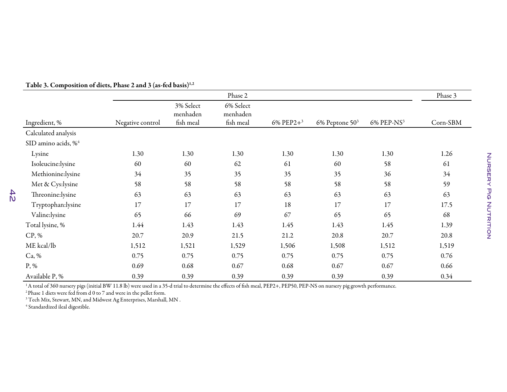|                                 |                  |                                    | Phase 2                            |              |                     |                        | Phase 3  |
|---------------------------------|------------------|------------------------------------|------------------------------------|--------------|---------------------|------------------------|----------|
| Ingredient, %                   | Negative control | 3% Select<br>menhaden<br>fish meal | 6% Select<br>menhaden<br>fish meal | 6% PEP2+ $3$ | $6\%$ Peptone $503$ | 6% PEP-NS <sup>3</sup> | Corn-SBM |
| Calculated analysis             |                  |                                    |                                    |              |                     |                        |          |
| SID amino acids, % <sup>4</sup> |                  |                                    |                                    |              |                     |                        |          |
| Lysine                          | 1.30             | 1.30                               | 1.30                               | 1.30         | 1.30                | 1.30                   | 1.26     |
| Isoleucine:lysine               | 60               | 60                                 | 62                                 | 61           | 60                  | 58                     | 61       |
| Methionine:lysine               | 34               | 35                                 | 35                                 | 35           | 35                  | 36                     | 34       |
| Met & Cys:lysine                | 58               | 58                                 | 58                                 | 58           | 58                  | 58                     | 59       |
| Threonine:lysine                | 63               | 63                                 | 63                                 | 63           | 63                  | 63                     | 63       |
| Tryptophan:lysine               | 17               | 17                                 | 17                                 | 18           | 17                  | 17                     | 17.5     |
| Valine:lysine                   | 65               | 66                                 | 69                                 | 67           | 65                  | 65                     | 68       |
| Total lysine, %                 | 1.44             | 1.43                               | 1.43                               | 1.45         | 1.43                | 1.45                   | 1.39     |
| CP, %                           | 20.7             | 20.9                               | 21.5                               | 21.2         | 20.8                | 20.7                   | 20.8     |
| ME kcal/lb                      | 1,512            | 1,521                              | 1,529                              | 1,506        | 1,508               | 1,512                  | 1,519    |
| Ca, %                           | 0.75             | 0.75                               | 0.75                               | 0.75         | 0.75                | 0.75                   | 0.76     |
| P, %                            | 0.69             | 0.68                               | 0.67                               | 0.68         | 0.67                | 0.67                   | 0.66     |
| Available P, %                  | 0.39             | 0.39                               | 0.39                               | 0.39         | 0.39                | 0.39                   | 0.34     |

Table 3. Composition of diets, Phase 2 and 3 (as-fed basis) $^{\rm 1,2}$ 

1A total of 360 nursery <sup>p</sup>igs (initial BW 11.8 lb) were used in <sup>a</sup> 35-d trial to determine the effects of fish meal, PEP2+, PEP50, PEP-NS on nursery <sup>p</sup>ig growth performance.

<sup>2</sup> Phase 1 diets were fed from d 0 to 7 and were in the pellet form.<br><sup>3</sup> Tech Mix, Stewart, MN, and Midwest Ag Enterprises, Marshall, MN .

<sup>4</sup> Standardized ileal digestible.

 $\frac{42}{2}$